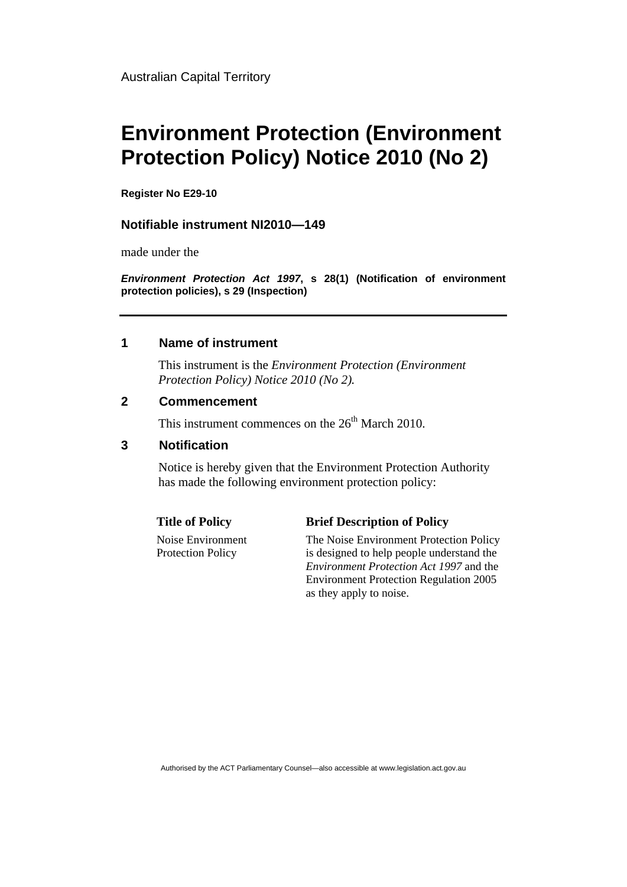# **Environment Protection (Environment Protection Policy) Notice 2010 (No 2)**

**Register No E29-10** 

### **Notifiable instrument NI2010—149**

made under the

*Environment Protection Act 1997***, s 28(1) (Notification of environment protection policies), s 29 (Inspection)**

### **1 Name of instrument**

This instrument is the *Environment Protection (Environment Protection Policy) Notice 2010 (No 2).* 

#### **2 Commencement**

This instrument commences on the  $26<sup>th</sup>$  March 2010.

## **3 Notification**

Notice is hereby given that the Environment Protection Authority has made the following environment protection policy:

Noise Environment Protection Policy

#### **Title of Policy Brief Description of Policy**

The Noise Environment Protection Policy is designed to help people understand the *Environment Protection Act 1997* and the Environment Protection Regulation 2005 as they apply to noise.